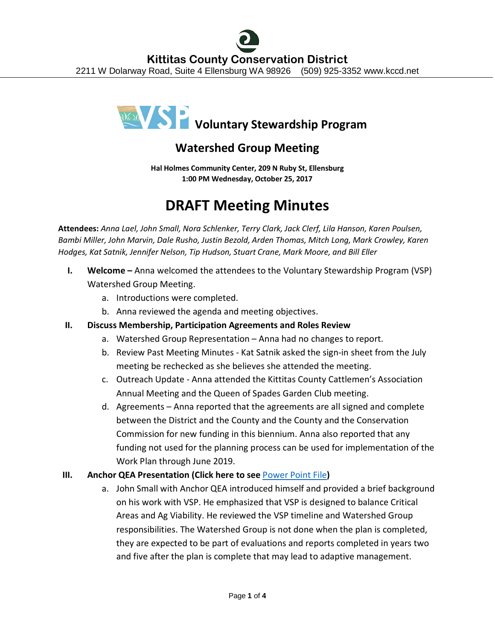

# **Watershed Group Meeting**

**Hal Holmes Community Center, 209 N Ruby St, Ellensburg 1:00 PM Wednesday, October 25, 2017**

# **DRAFT Meeting Minutes**

**Attendees:** *Anna Lael, John Small, Nora Schlenker, Terry Clark, Jack Clerf, Lila Hanson, Karen Poulsen, Bambi Miller, John Marvin, Dale Rusho, Justin Bezold, Arden Thomas, Mitch Long, Mark Crowley, Karen Hodges, Kat Satnik, Jennifer Nelson, Tip Hudson, Stuart Crane, Mark Moore, and Bill Eller*

- **I. Welcome** Anna welcomed the attendees to the Voluntary Stewardship Program (VSP) Watershed Group Meeting.
	- a. Introductions were completed.
	- b. Anna reviewed the agenda and meeting objectives.

## **II. Discuss Membership, Participation Agreements and Roles Review**

- a. Watershed Group Representation Anna had no changes to report.
- b. Review Past Meeting Minutes Kat Satnik asked the sign-in sheet from the July meeting be rechecked as she believes she attended the meeting.
- c. Outreach Update Anna attended the Kittitas County Cattlemen's Association Annual Meeting and the Queen of Spades Garden Club meeting.
- d. Agreements Anna reported that the agreements are all signed and complete between the District and the County and the County and the Conservation Commission for new funding in this biennium. Anna also reported that any funding not used for the planning process can be used for implementation of the Work Plan through June 2019.

## **III. Anchor QEA Presentation (Click here to see** [Power Point File](http://www.kccd.net/VoluntaryStewardship/2017_1025_KittitasVSP_Presentation.pdf)**)**

a. John Small with Anchor QEA introduced himself and provided a brief background on his work with VSP. He emphasized that VSP is designed to balance Critical Areas and Ag Viability. He reviewed the VSP timeline and Watershed Group responsibilities. The Watershed Group is not done when the plan is completed, they are expected to be part of evaluations and reports completed in years two and five after the plan is complete that may lead to adaptive management.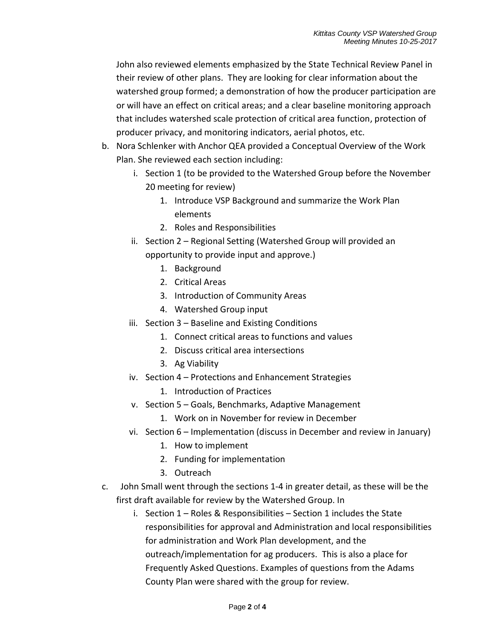John also reviewed elements emphasized by the State Technical Review Panel in their review of other plans. They are looking for clear information about the watershed group formed; a demonstration of how the producer participation are or will have an effect on critical areas; and a clear baseline monitoring approach that includes watershed scale protection of critical area function, protection of producer privacy, and monitoring indicators, aerial photos, etc.

- b. Nora Schlenker with Anchor QEA provided a Conceptual Overview of the Work Plan. She reviewed each section including:
	- i. Section 1 (to be provided to the Watershed Group before the November 20 meeting for review)
		- 1. Introduce VSP Background and summarize the Work Plan elements
		- 2. Roles and Responsibilities
	- ii. Section 2 Regional Setting (Watershed Group will provided an opportunity to provide input and approve.)
		- 1. Background
		- 2. Critical Areas
		- 3. Introduction of Community Areas
		- 4. Watershed Group input
	- iii. Section 3 Baseline and Existing Conditions
		- 1. Connect critical areas to functions and values
		- 2. Discuss critical area intersections
		- 3. Ag Viability
	- iv. Section 4 Protections and Enhancement Strategies
		- 1. Introduction of Practices
	- v. Section 5 Goals, Benchmarks, Adaptive Management
		- 1. Work on in November for review in December
	- vi. Section 6 Implementation (discuss in December and review in January)
		- 1. How to implement
		- 2. Funding for implementation
		- 3. Outreach
- c. John Small went through the sections 1-4 in greater detail, as these will be the first draft available for review by the Watershed Group. In
	- i. Section 1 Roles & Responsibilities Section 1 includes the State responsibilities for approval and Administration and local responsibilities for administration and Work Plan development, and the outreach/implementation for ag producers. This is also a place for Frequently Asked Questions. Examples of questions from the Adams County Plan were shared with the group for review.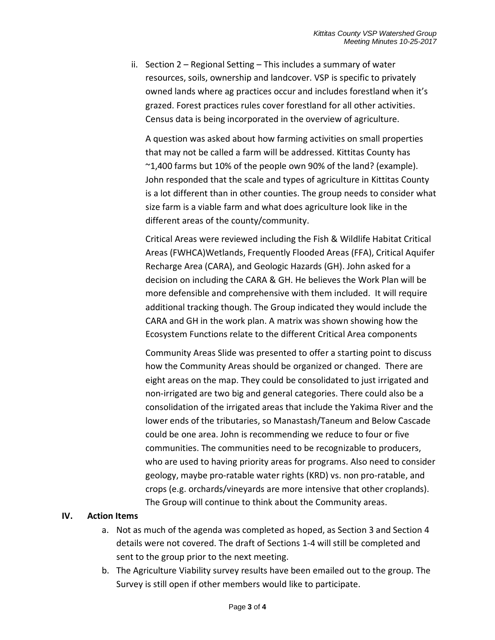ii. Section 2 – Regional Setting – This includes a summary of water resources, soils, ownership and landcover. VSP is specific to privately owned lands where ag practices occur and includes forestland when it's grazed. Forest practices rules cover forestland for all other activities. Census data is being incorporated in the overview of agriculture.

A question was asked about how farming activities on small properties that may not be called a farm will be addressed. Kittitas County has  $\sim$ 1,400 farms but 10% of the people own 90% of the land? (example). John responded that the scale and types of agriculture in Kittitas County is a lot different than in other counties. The group needs to consider what size farm is a viable farm and what does agriculture look like in the different areas of the county/community.

Critical Areas were reviewed including the Fish & Wildlife Habitat Critical Areas (FWHCA)Wetlands, Frequently Flooded Areas (FFA), Critical Aquifer Recharge Area (CARA), and Geologic Hazards (GH). John asked for a decision on including the CARA & GH. He believes the Work Plan will be more defensible and comprehensive with them included. It will require additional tracking though. The Group indicated they would include the CARA and GH in the work plan. A matrix was shown showing how the Ecosystem Functions relate to the different Critical Area components

Community Areas Slide was presented to offer a starting point to discuss how the Community Areas should be organized or changed. There are eight areas on the map. They could be consolidated to just irrigated and non-irrigated are two big and general categories. There could also be a consolidation of the irrigated areas that include the Yakima River and the lower ends of the tributaries, so Manastash/Taneum and Below Cascade could be one area. John is recommending we reduce to four or five communities. The communities need to be recognizable to producers, who are used to having priority areas for programs. Also need to consider geology, maybe pro-ratable water rights (KRD) vs. non pro-ratable, and crops (e.g. orchards/vineyards are more intensive that other croplands). The Group will continue to think about the Community areas.

#### **IV. Action Items**

- a. Not as much of the agenda was completed as hoped, as Section 3 and Section 4 details were not covered. The draft of Sections 1-4 will still be completed and sent to the group prior to the next meeting.
- b. The Agriculture Viability survey results have been emailed out to the group. The Survey is still open if other members would like to participate.